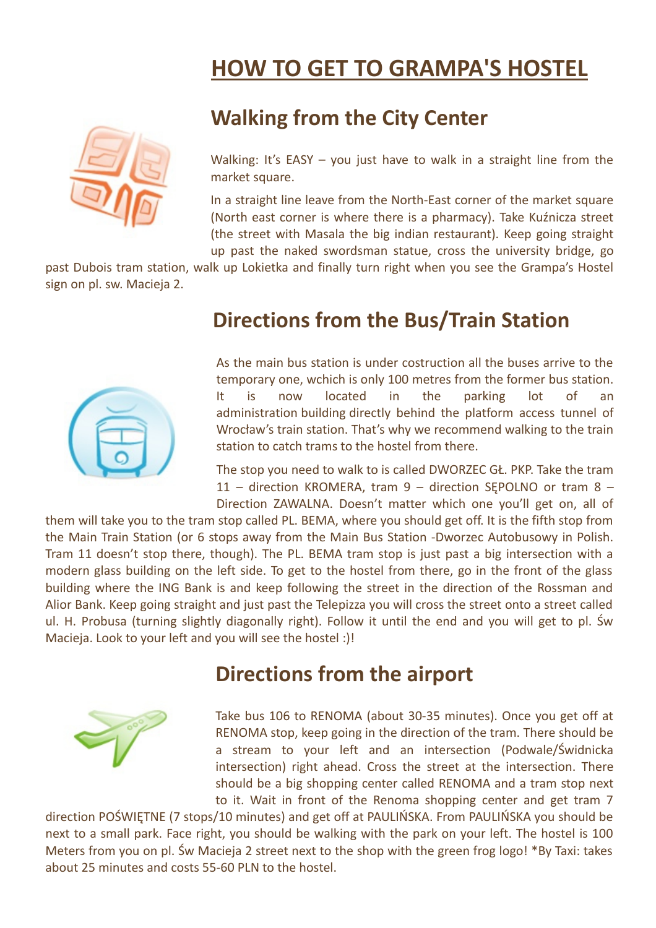## **HOW TO GET TO GRAMPA'S HOSTEL**



### **Walking from the City Center**

Walking: It's EASY – you just have to walk in a straight line from the market square.

In a straight line leave from the North-East corner of the market square (North east corner is where there is a pharmacy). Take Kuźnicza street (the street with Masala the big indian restaurant). Keep going straight up past the naked swordsman statue, cross the university bridge, go

past Dubois tram station, walk up Lokietka and finally turn right when you see the Grampa's Hostel sign on pl. sw. Macieja 2.



#### **Directions from the Bus/Train Station**

As the main bus station is under costruction all the buses arrive to the temporary one, wchich is only 100 metres from the former bus station. It is now located in the parking lot of an administration building directly behind the platform access tunnel of Wrocław's train station. That's why we recommend walking to the train station to catch trams to the hostel from there.

The stop you need to walk to is called DWORZEC GŁ. PKP. Take the tram 11 – direction KROMERA, tram 9 – direction SĘPOLNO or tram 8 – Direction ZAWALNA. Doesn't matter which one you'll get on, all of

them will take you to the tram stop called PL. BEMA, where you should get off. It is the fifth stop from the Main Train Station (or 6 stops away from the Main Bus Station -Dworzec Autobusowy in Polish. Tram 11 doesn't stop there, though). The PL. BEMA tram stop is just past a big intersection with a modern glass building on the left side. To get to the hostel from there, go in the front of the glass building where the ING Bank is and keep following the street in the direction of the Rossman and Alior Bank. Keep going straight and just past the Telepizza you will cross the street onto a street called ul. H. Probusa (turning slightly diagonally right). Follow it until the end and you will get to pl. Św Macieja. Look to your left and you will see the hostel :)!

### **Directions from the airport**



Take bus 106 to RENOMA (about 30-35 minutes). Once you get off at RENOMA stop, keep going in the direction of the tram. There should be a stream to your left and an intersection (Podwale/Świdnicka intersection) right ahead. Cross the street at the intersection. There should be a big shopping center called RENOMA and a tram stop next to it. Wait in front of the Renoma shopping center and get tram 7

direction POŚWIĘTNE (7 stops/10 minutes) and get off at PAULIŃSKA. From PAULIŃSKA you should be next to a small park. Face right, you should be walking with the park on your left. The hostel is 100 Meters from you on pl. Św Macieja 2 street next to the shop with the green frog logo! \*By Taxi: takes about 25 minutes and costs 55-60 PLN to the hostel.